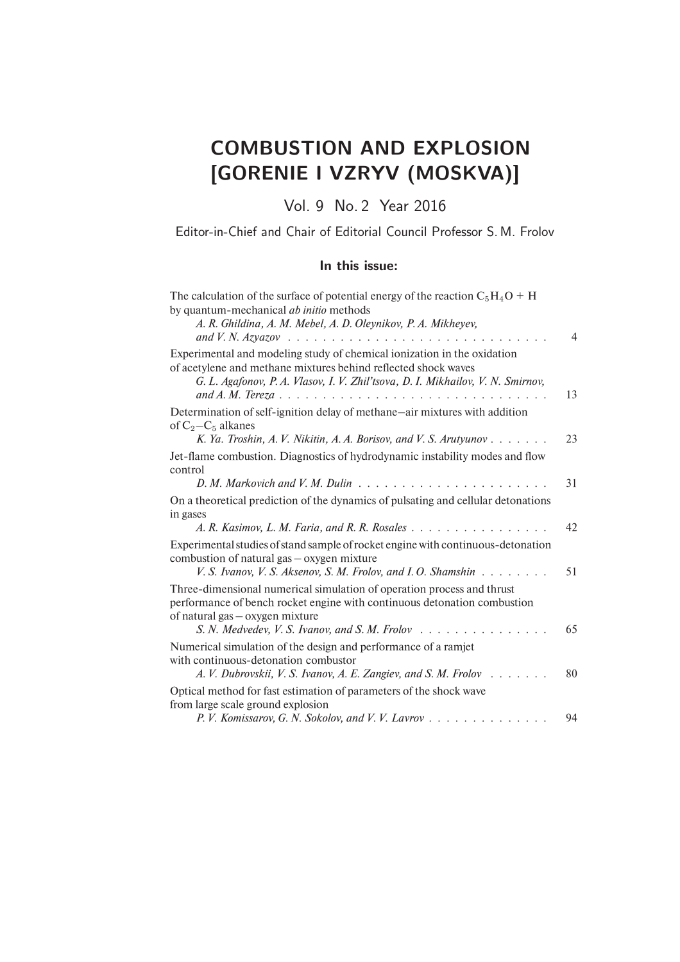## COMBUSTION AND EXPLOSION [GORENIE I VZRYV (MOSKVA)]

Vol. 9 No. 2 Year 2016

Editor-in-Chief and Chair of Editorial Council Professor S. M. Frolov

## In this issue:

| The calculation of the surface of potential energy of the reaction $C_5H_4O + H$<br>by quantum-mechanical <i>ab initio</i> methods<br>A. R. Ghildina, A. M. Mebel, A. D. Oleynikov, P. A. Mikheyev,                          |    |
|------------------------------------------------------------------------------------------------------------------------------------------------------------------------------------------------------------------------------|----|
|                                                                                                                                                                                                                              | 4  |
| Experimental and modeling study of chemical ionization in the oxidation<br>of acetylene and methane mixtures behind reflected shock waves<br>G. L. Agafonov, P. A. Vlasov, I. V. Zhil'tsova, D. I. Mikhailov, V. N. Smirnov, | 13 |
| Determination of self-ignition delay of methane-air mixtures with addition<br>of $C_2 - C_5$ alkanes                                                                                                                         |    |
| K. Ya. Troshin, A. V. Nikitin, A. A. Borisov, and V. S. Arutyunov                                                                                                                                                            | 23 |
| Jet-flame combustion. Diagnostics of hydrodynamic instability modes and flow<br>control                                                                                                                                      |    |
|                                                                                                                                                                                                                              | 31 |
| On a theoretical prediction of the dynamics of pulsating and cellular detonations<br>in gases                                                                                                                                |    |
| A. R. Kasimov, L. M. Faria, and R. R. Rosales                                                                                                                                                                                | 42 |
| Experimental studies of stand sample of rocket engine with continuous-detonation<br>combustion of natural gas – oxygen mixture                                                                                               |    |
| V. S. Ivanov, V. S. Aksenov, S. M. Frolov, and I. O. Shamshin                                                                                                                                                                | 51 |
| Three-dimensional numerical simulation of operation process and thrust<br>performance of bench rocket engine with continuous detonation combustion<br>of natural gas – oxygen mixture                                        |    |
|                                                                                                                                                                                                                              | 65 |
| Numerical simulation of the design and performance of a ramjet<br>with continuous-detonation combustor<br>A. V. Dubrovskii, V. S. Ivanov, A. E. Zangiev, and S. M. Frolov                                                    | 80 |
| Optical method for fast estimation of parameters of the shock wave                                                                                                                                                           |    |
| from large scale ground explosion<br>P.V. Komissarov, G.N. Sokolov, and V.V. Lavrov                                                                                                                                          | 94 |